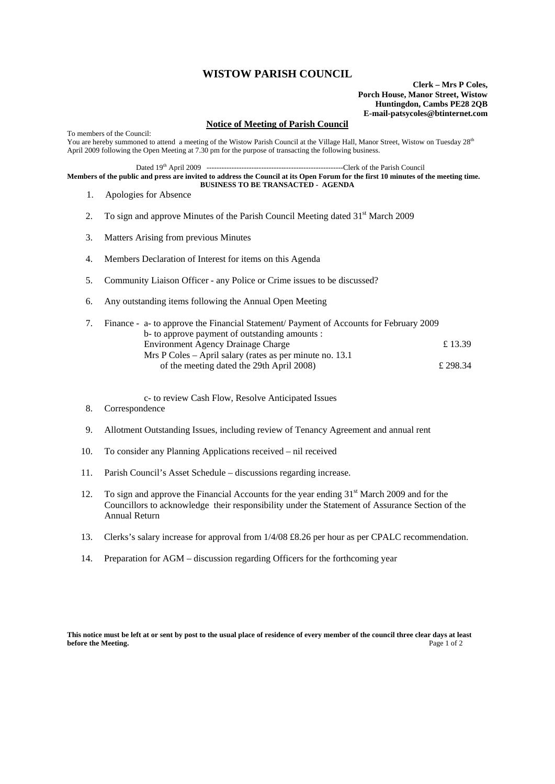## **WISTOW PARISH COUNCIL**

**Clerk – Mrs P Coles, Porch House, Manor Street, Wistow Huntingdon, Cambs PE28 2QB E-mail-patsycoles@btinternet.com**

## **Notice of Meeting of Parish Council**

To members of the Council: You are hereby summoned to attend a meeting of the Wistow Parish Council at the Village Hall, Manor Street, Wistow on Tuesday 28<sup>th</sup> April 2009 following the Open Meeting at 7.30 pm for the purpose of transacting the following business. Dated 19th April 2009 -------------------------------------------------------Clerk of the Parish Council **Members of the public and press are invited to address the Council at its Open Forum for the first 10 minutes of the meeting time. BUSINESS TO BE TRANSACTED - AGENDA** 

1. Apologies for Absence

- 2. To sign and approve Minutes of the Parish Council Meeting dated  $31<sup>st</sup>$  March 2009
- 3. Matters Arising from previous Minutes
- 4. Members Declaration of Interest for items on this Agenda
- 5. Community Liaison Officer any Police or Crime issues to be discussed?
- 6. Any outstanding items following the Annual Open Meeting

|  | Finance - a- to approve the Financial Statement/ Payment of Accounts for February 2009 |          |
|--|----------------------------------------------------------------------------------------|----------|
|  | b- to approve payment of outstanding amounts :                                         |          |
|  | <b>Environment Agency Drainage Charge</b>                                              | £13.39   |
|  | Mrs P Coles – April salary (rates as per minute no. 13.1)                              |          |
|  | of the meeting dated the 29th April 2008)                                              | £ 298.34 |

c- to review Cash Flow, Resolve Anticipated Issues

- 8. Correspondence
- 9. Allotment Outstanding Issues, including review of Tenancy Agreement and annual rent
- 10. To consider any Planning Applications received nil received
- 11. Parish Council's Asset Schedule discussions regarding increase.
- 12. To sign and approve the Financial Accounts for the year ending 31<sup>st</sup> March 2009 and for the Councillors to acknowledge their responsibility under the Statement of Assurance Section of the Annual Return
- 13. Clerks's salary increase for approval from 1/4/08 £8.26 per hour as per CPALC recommendation.
- 14. Preparation for AGM discussion regarding Officers for the forthcoming year

**This notice must be left at or sent by post to the usual place of residence of every member of the council three clear days at least before the Meeting.** Page 1 of 2